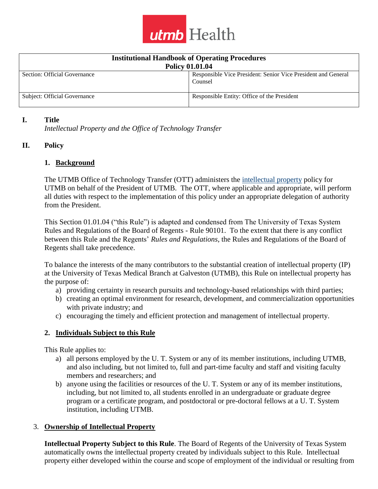

| <b>Institutional Handbook of Operating Procedures</b> |                                                                          |
|-------------------------------------------------------|--------------------------------------------------------------------------|
| <b>Policy 01.01.04</b>                                |                                                                          |
| Section: Official Governance                          | Responsible Vice President: Senior Vice President and General<br>Counsel |
| Subject: Official Governance                          | Responsible Entity: Office of the President                              |

#### **I. Title**

*Intellectual Property and the Office of Technology Transfer*

#### **II. Policy**

#### **1. Background**

The UTMB Office of Technology Transfer (OTT) administers the [intellectual property](https://www.utmb.edu/policies_and_procedures/policyLinks.aspx?id=277) policy for UTMB on behalf of the President of UTMB. The OTT, where applicable and appropriate, will perform all duties with respect to the implementation of this policy under an appropriate delegation of authority from the President.

This Section 01.01.04 ("this Rule") is adapted and condensed from The University of Texas System Rules and Regulations of the Board of Regents - Rule 90101. To the extent that there is any conflict between this Rule and the Regents' *Rules and Regulations*, the Rules and Regulations of the Board of Regents shall take precedence.

To balance the interests of the many contributors to the substantial creation of intellectual property (IP) at the University of Texas Medical Branch at Galveston (UTMB), this Rule on intellectual property has the purpose of:

- a) providing certainty in research pursuits and technology-based relationships with third parties;
- b) creating an optimal environment for research, development, and commercialization opportunities with private industry; and
- c) encouraging the timely and efficient protection and management of intellectual property.

## **2. Individuals Subject to this Rule**

This Rule applies to:

- a) all persons employed by the U. T. System or any of its member institutions, including UTMB, and also including, but not limited to, full and part-time faculty and staff and visiting faculty members and researchers; and
- b) anyone using the facilities or resources of the U. T. System or any of its member institutions, including, but not limited to, all students enrolled in an undergraduate or graduate degree program or a certificate program, and postdoctoral or pre-doctoral fellows at a U. T. System institution, including UTMB.

#### 3. **Ownership of Intellectual Property**

**Intellectual Property Subject to this Rule**. The Board of Regents of the University of Texas System automatically owns the intellectual property created by individuals subject to this Rule. Intellectual property either developed within the course and scope of employment of the individual or resulting from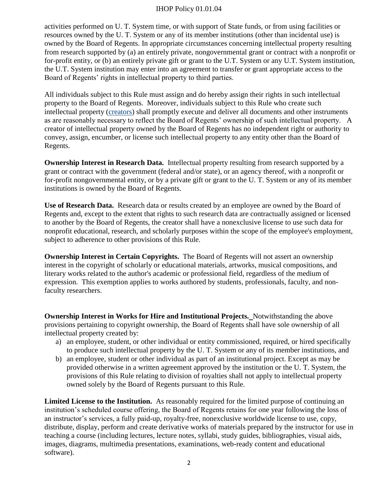activities performed on U. T. System time, or with support of State funds, or from using facilities or resources owned by the U. T. System or any of its member institutions (other than incidental use) is owned by the Board of Regents. In appropriate circumstances concerning intellectual property resulting from research supported by (a) an entirely private, nongovernmental grant or contract with a nonprofit or for-profit entity, or (b) an entirely private gift or grant to the U.T. System or any U.T. System institution, the U.T. System institution may enter into an agreement to transfer or grant appropriate access to the Board of Regents' rights in intellectual property to third parties.

All individuals subject to this Rule must assign and do hereby assign their rights in such intellectual property to the Board of Regents. Moreover, individuals subject to this Rule who create such intellectual property [\(creators\)](https://www.utmb.edu/policies_and_procedures/policyLinks.aspx?id=796f) shall promptly execute and deliver all documents and other instruments as are reasonably necessary to reflect the Board of Regents' ownership of such intellectual property. A creator of intellectual property owned by the Board of Regents has no independent right or authority to convey, assign, encumber, or license such intellectual property to any entity other than the Board of Regents.

**Ownership Interest in Research Data.** Intellectual property resulting from research supported by a grant or contract with the government (federal and/or state), or an agency thereof, with a nonprofit or for-profit nongovernmental entity, or by a private gift or grant to the U. T. System or any of its member institutions is owned by the Board of Regents.

**Use of Research Data.** Research data or results created by an employee are owned by the Board of Regents and, except to the extent that rights to such research data are contractually assigned or licensed to another by the Board of Regents, the creator shall have a nonexclusive license to use such data for nonprofit educational, research, and scholarly purposes within the scope of the employee's employment, subject to adherence to other provisions of this Rule.

**Ownership Interest in Certain Copyrights.** The Board of Regents will not assert an ownership interest in the copyright of scholarly or educational materials, artworks, musical compositions, and literary works related to the author's academic or professional field, regardless of the medium of expression. This exemption applies to works authored by students, professionals, faculty, and nonfaculty researchers.

**Ownership Interest in Works for Hire and Institutional Projects.** Notwithstanding the above provisions pertaining to copyright ownership, the Board of Regents shall have sole ownership of all intellectual property created by:

- a) an employee, student, or other individual or entity commissioned, required, or hired specifically to produce such intellectual property by the U. T. System or any of its member institutions, and
- b) an employee, student or other individual as part of an institutional project. Except as may be provided otherwise in a written agreement approved by the institution or the U. T. System, the provisions of this Rule relating to division of royalties shall not apply to intellectual property owned solely by the Board of Regents pursuant to this Rule.

**Limited License to the Institution.** As reasonably required for the limited purpose of continuing an institution's scheduled course offering, the Board of Regents retains for one year following the loss of an instructor's services, a fully paid-up, royalty-free, nonexclusive worldwide license to use, copy, distribute, display, perform and create derivative works of materials prepared by the instructor for use in teaching a course (including lectures, lecture notes, syllabi, study guides, bibliographies, visual aids, images, diagrams, multimedia presentations, examinations, web-ready content and educational software).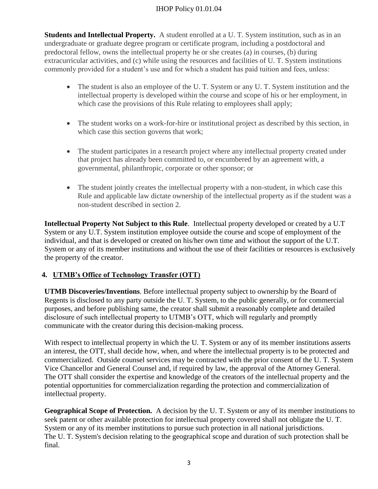**Students and Intellectual Property.** A student enrolled at a U. T. System institution, such as in an undergraduate or graduate degree program or certificate program, including a postdoctoral and predoctoral fellow, owns the intellectual property he or she creates (a) in courses, (b) during extracurricular activities, and (c) while using the resources and facilities of U. T. System institutions commonly provided for a student's use and for which a student has paid tuition and fees, unless:

- The student is also an employee of the U. T. System or any U. T. System institution and the intellectual property is developed within the course and scope of his or her employment, in which case the provisions of this Rule relating to employees shall apply;
- The student works on a work-for-hire or institutional project as described by this section, in which case this section governs that work;
- The student participates in a research project where any intellectual property created under that project has already been committed to, or encumbered by an agreement with, a governmental, philanthropic, corporate or other sponsor; or
- The student jointly creates the intellectual property with a non-student, in which case this Rule and applicable law dictate ownership of the intellectual property as if the student was a non-student described in section 2.

**Intellectual Property Not Subject to this Rule**. Intellectual property developed or created by a U.T System or any U.T. System institution employee outside the course and scope of employment of the individual, and that is developed or created on his/her own time and without the support of the U.T. System or any of its member institutions and without the use of their facilities or resources is exclusively the property of the creator.

# **4. UTMB's Office of Technology Transfer (OTT)**

**UTMB Discoveries/Inventions**. Before intellectual property subject to ownership by the Board of Regents is disclosed to any party outside the U. T. System, to the public generally, or for commercial purposes, and before publishing same, the creator shall submit a reasonably complete and detailed disclosure of such intellectual property to UTMB's OTT, which will regularly and promptly communicate with the creator during this decision-making process.

With respect to intellectual property in which the U. T. System or any of its member institutions asserts an interest, the OTT, shall decide how, when, and where the intellectual property is to be protected and commercialized. Outside counsel services may be contracted with the prior consent of the U. T. System Vice Chancellor and General Counsel and, if required by law, the approval of the Attorney General. The OTT shall consider the expertise and knowledge of the creators of the intellectual property and the potential opportunities for commercialization regarding the protection and commercialization of intellectual property.

**Geographical Scope of Protection.** A decision by the U. T. System or any of its member institutions to seek patent or other available protection for intellectual property covered shall not obligate the U. T. System or any of its member institutions to pursue such protection in all national jurisdictions. The U. T. System's decision relating to the geographical scope and duration of such protection shall be final.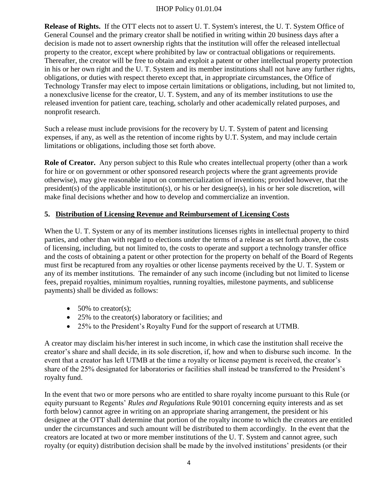**Release of Rights.** If the OTT elects not to assert U. T. System's interest, the U. T. System Office of General Counsel and the primary creator shall be notified in writing within 20 business days after a decision is made not to assert ownership rights that the institution will offer the released intellectual property to the creator, except where prohibited by law or contractual obligations or requirements. Thereafter, the creator will be free to obtain and exploit a patent or other intellectual property protection in his or her own right and the U. T. System and its member institutions shall not have any further rights, obligations, or duties with respect thereto except that, in appropriate circumstances, the Office of Technology Transfer may elect to impose certain limitations or obligations, including, but not limited to, a nonexclusive license for the creator, U. T. System, and any of its member institutions to use the released invention for patient care, teaching, scholarly and other academically related purposes, and nonprofit research.

Such a release must include provisions for the recovery by U. T. System of patent and licensing expenses, if any, as well as the retention of income rights by U.T. System, and may include certain limitations or obligations, including those set forth above.

**Role of Creator.** Any person subject to this Rule who creates intellectual property (other than a work for hire or on government or other sponsored research projects where the grant agreements provide otherwise), may give reasonable input on commercialization of inventions; provided however, that the president(s) of the applicable institution(s), or his or her designee(s), in his or her sole discretion, will make final decisions whether and how to develop and commercialize an invention.

# **5. Distribution of Licensing Revenue and Reimbursement of Licensing Costs**

When the U. T. System or any of its member institutions licenses rights in intellectual property to third parties, and other than with regard to elections under the terms of a release as set forth above, the costs of licensing, including, but not limited to, the costs to operate and support a technology transfer office and the costs of obtaining a patent or other protection for the property on behalf of the Board of Regents must first be recaptured from any royalties or other license payments received by the U. T. System or any of its member institutions. The remainder of any such income (including but not limited to license fees, prepaid royalties, minimum royalties, running royalties, milestone payments, and sublicense payments) shall be divided as follows:

- $\bullet$  50% to creator(s);
- $\bullet$  25% to the creator(s) laboratory or facilities; and
- 25% to the President's Royalty Fund for the support of research at UTMB.

A creator may disclaim his/her interest in such income, in which case the institution shall receive the creator's share and shall decide, in its sole discretion, if, how and when to disburse such income. In the event that a creator has left UTMB at the time a royalty or license payment is received, the creator's share of the 25% designated for laboratories or facilities shall instead be transferred to the President's royalty fund.

In the event that two or more persons who are entitled to share royalty income pursuant to this Rule (or equity pursuant to Regents' *Rules and Regulations* Rule 90101 concerning equity interests and as set forth below) cannot agree in writing on an appropriate sharing arrangement, the president or his designee at the OTT shall determine that portion of the royalty income to which the creators are entitled under the circumstances and such amount will be distributed to them accordingly. In the event that the creators are located at two or more member institutions of the U. T. System and cannot agree, such royalty (or equity) distribution decision shall be made by the involved institutions' presidents (or their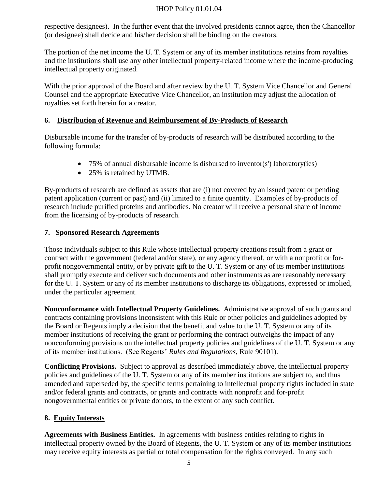respective designees). In the further event that the involved presidents cannot agree, then the Chancellor (or designee) shall decide and his/her decision shall be binding on the creators.

The portion of the net income the U. T. System or any of its member institutions retains from royalties and the institutions shall use any other intellectual property-related income where the income-producing intellectual property originated.

With the prior approval of the Board and after review by the U. T. System Vice Chancellor and General Counsel and the appropriate Executive Vice Chancellor, an institution may adjust the allocation of royalties set forth herein for a creator.

## **6. Distribution of Revenue and Reimbursement of By-Products of Research**

Disbursable income for the transfer of by-products of research will be distributed according to the following formula:

- 75% of annual disbursable income is disbursed to inventor(s') laboratory(ies)
- 25% is retained by UTMB.

By-products of research are defined as assets that are (i) not covered by an issued patent or pending patent application (current or past) and (ii) limited to a finite quantity. Examples of by-products of research include purified proteins and antibodies. No creator will receive a personal share of income from the licensing of by-products of research.

## **7. Sponsored Research Agreements**

Those individuals subject to this Rule whose intellectual property creations result from a grant or contract with the government (federal and/or state), or any agency thereof, or with a nonprofit or forprofit nongovernmental entity, or by private gift to the U. T. System or any of its member institutions shall promptly execute and deliver such documents and other instruments as are reasonably necessary for the U. T. System or any of its member institutions to discharge its obligations, expressed or implied, under the particular agreement.

**Nonconformance with Intellectual Property Guidelines.** Administrative approval of such grants and contracts containing provisions inconsistent with this Rule or other policies and guidelines adopted by the Board or Regents imply a decision that the benefit and value to the U. T. System or any of its member institutions of receiving the grant or performing the contract outweighs the impact of any nonconforming provisions on the intellectual property policies and guidelines of the U. T. System or any of its member institutions. (See Regents' *Rules and Regulations*, Rule 90101).

**Conflicting Provisions.** Subject to approval as described immediately above, the intellectual property policies and guidelines of the U. T. System or any of its member institutions are subject to, and thus amended and superseded by, the specific terms pertaining to intellectual property rights included in state and/or federal grants and contracts, or grants and contracts with nonprofit and for-profit nongovernmental entities or private donors, to the extent of any such conflict.

## **8. Equity Interests**

**Agreements with Business Entities.** In agreements with business entities relating to rights in intellectual property owned by the Board of Regents, the U. T. System or any of its member institutions may receive equity interests as partial or total compensation for the rights conveyed. In any such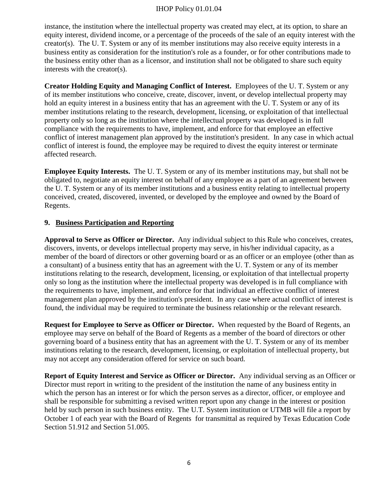instance, the institution where the intellectual property was created may elect, at its option, to share an equity interest, dividend income, or a percentage of the proceeds of the sale of an equity interest with the creator(s). The U. T. System or any of its member institutions may also receive equity interests in a business entity as consideration for the institution's role as a founder, or for other contributions made to the business entity other than as a licensor, and institution shall not be obligated to share such equity interests with the creator(s).

**Creator Holding Equity and Managing Conflict of Interest.** Employees of the U. T. System or any of its member institutions who conceive, create, discover, invent, or develop intellectual property may hold an equity interest in a business entity that has an agreement with the U. T. System or any of its member institutions relating to the research, development, licensing, or exploitation of that intellectual property only so long as the institution where the intellectual property was developed is in full compliance with the requirements to have, implement, and enforce for that employee an effective conflict of interest management plan approved by the institution's president. In any case in which actual conflict of interest is found, the employee may be required to divest the equity interest or terminate affected research.

**Employee Equity Interests.** The U. T. System or any of its member institutions may, but shall not be obligated to, negotiate an equity interest on behalf of any employee as a part of an agreement between the U. T. System or any of its member institutions and a business entity relating to intellectual property conceived, created, discovered, invented, or developed by the employee and owned by the Board of Regents.

## **9. Business Participation and Reporting**

**Approval to Serve as Officer or Director.** Any individual subject to this Rule who conceives, creates, discovers, invents, or develops intellectual property may serve, in his/her individual capacity, as a member of the board of directors or other governing board or as an officer or an employee (other than as a consultant) of a business entity that has an agreement with the U. T. System or any of its member institutions relating to the research, development, licensing, or exploitation of that intellectual property only so long as the institution where the intellectual property was developed is in full compliance with the requirements to have, implement, and enforce for that individual an effective conflict of interest management plan approved by the institution's president. In any case where actual conflict of interest is found, the individual may be required to terminate the business relationship or the relevant research.

**Request for Employee to Serve as Officer or Director.** When requested by the Board of Regents, an employee may serve on behalf of the Board of Regents as a member of the board of directors or other governing board of a business entity that has an agreement with the U. T. System or any of its member institutions relating to the research, development, licensing, or exploitation of intellectual property, but may not accept any consideration offered for service on such board.

**Report of Equity Interest and Service as Officer or Director.** Any individual serving as an Officer or Director must report in writing to the president of the institution the name of any business entity in which the person has an interest or for which the person serves as a director, officer, or employee and shall be responsible for submitting a revised written report upon any change in the interest or position held by such person in such business entity. The U.T. System institution or UTMB will file a report by October 1 of each year with the Board of Regents for transmittal as required by Texas Education Code [Section 51.912](http://www.statutes.legis.state.tx.us/Docs/ED/htm/ED.51.htm#51.912) and [Section 51.005.](http://www.statutes.legis.state.tx.us/Docs/ED/htm/ED.51.htm#51.005)